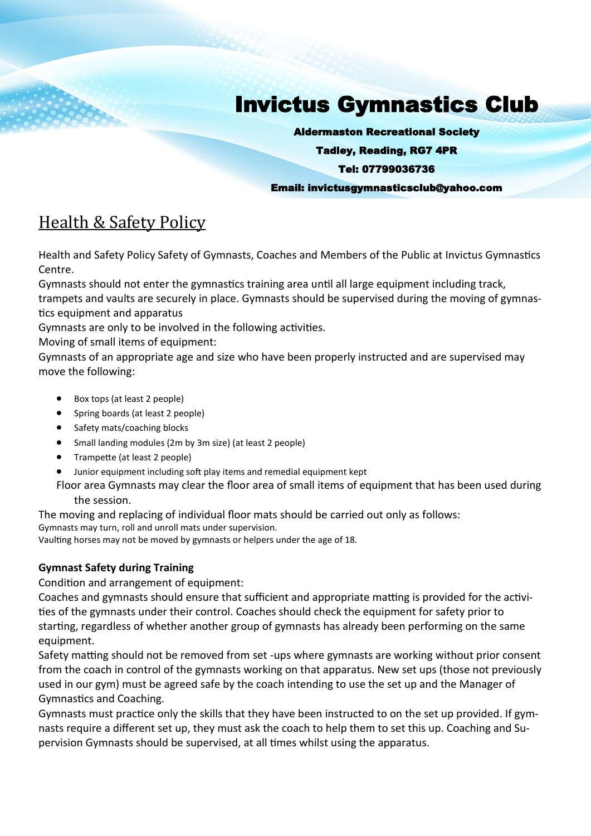# Invictus Gymnastics Club

Aldermaston Recreational Society

Tadley, Reading, RG7 4PR

#### Tel: 07799036736

Email: invictusgymnasticsclub@yahoo.com

## Health & Safety Policy

Health and Safety Policy Safety of Gymnasts, Coaches and Members of the Public at Invictus Gymnastics Centre.

Gymnasts should not enter the gymnastics training area until all large equipment including track, trampets and vaults are securely in place. Gymnasts should be supervised during the moving of gymnastics equipment and apparatus

Gymnasts are only to be involved in the following activities.

Moving of small items of equipment:

Gymnasts of an appropriate age and size who have been properly instructed and are supervised may move the following:

- Box tops (at least 2 people)
- Spring boards (at least 2 people)
- Safety mats/coaching blocks
- Small landing modules (2m by 3m size) (at least 2 people)
- Trampette (at least 2 people)
- Junior equipment including soft play items and remedial equipment kept
- Floor area Gymnasts may clear the floor area of small items of equipment that has been used during the session.

The moving and replacing of individual floor mats should be carried out only as follows: Gymnasts may turn, roll and unroll mats under supervision.

Vaulting horses may not be moved by gymnasts or helpers under the age of 18.

### **Gymnast Safety during Training**

Condition and arrangement of equipment:

Coaches and gymnasts should ensure that sufficient and appropriate matting is provided for the activities of the gymnasts under their control. Coaches should check the equipment for safety prior to starting, regardless of whether another group of gymnasts has already been performing on the same equipment.

Safety matting should not be removed from set -ups where gymnasts are working without prior consent from the coach in control of the gymnasts working on that apparatus. New set ups (those not previously used in our gym) must be agreed safe by the coach intending to use the set up and the Manager of Gymnastics and Coaching.

Gymnasts must practice only the skills that they have been instructed to on the set up provided. If gymnasts require a different set up, they must ask the coach to help them to set this up. Coaching and Supervision Gymnasts should be supervised, at all times whilst using the apparatus.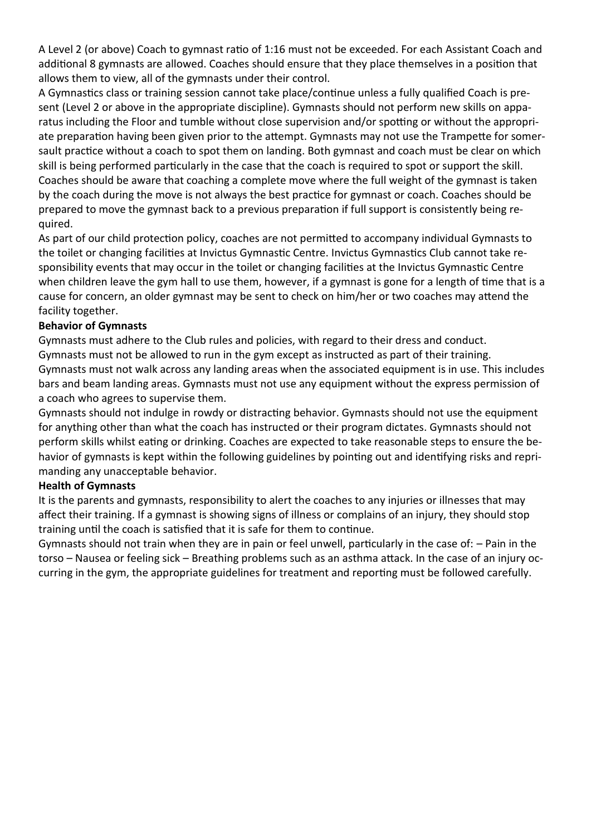A Level 2 (or above) Coach to gymnast ratio of 1:16 must not be exceeded. For each Assistant Coach and additional 8 gymnasts are allowed. Coaches should ensure that they place themselves in a position that allows them to view, all of the gymnasts under their control.

A Gymnastics class or training session cannot take place/continue unless a fully qualified Coach is present (Level 2 or above in the appropriate discipline). Gymnasts should not perform new skills on apparatus including the Floor and tumble without close supervision and/or spotting or without the appropriate preparation having been given prior to the attempt. Gymnasts may not use the Trampette for somersault practice without a coach to spot them on landing. Both gymnast and coach must be clear on which skill is being performed particularly in the case that the coach is required to spot or support the skill. Coaches should be aware that coaching a complete move where the full weight of the gymnast is taken by the coach during the move is not always the best practice for gymnast or coach. Coaches should be prepared to move the gymnast back to a previous preparation if full support is consistently being required.

As part of our child protection policy, coaches are not permitted to accompany individual Gymnasts to the toilet or changing facilities at Invictus Gymnastic Centre. Invictus Gymnastics Club cannot take responsibility events that may occur in the toilet or changing facilities at the Invictus Gymnastic Centre when children leave the gym hall to use them, however, if a gymnast is gone for a length of time that is a cause for concern, an older gymnast may be sent to check on him/her or two coaches may attend the facility together.

#### **Behavior of Gymnasts**

Gymnasts must adhere to the Club rules and policies, with regard to their dress and conduct. Gymnasts must not be allowed to run in the gym except as instructed as part of their training. Gymnasts must not walk across any landing areas when the associated equipment is in use. This includes bars and beam landing areas. Gymnasts must not use any equipment without the express permission of a coach who agrees to supervise them.

Gymnasts should not indulge in rowdy or distracting behavior. Gymnasts should not use the equipment for anything other than what the coach has instructed or their program dictates. Gymnasts should not perform skills whilst eating or drinking. Coaches are expected to take reasonable steps to ensure the behavior of gymnasts is kept within the following guidelines by pointing out and identifying risks and reprimanding any unacceptable behavior.

#### **Health of Gymnasts**

It is the parents and gymnasts, responsibility to alert the coaches to any injuries or illnesses that may affect their training. If a gymnast is showing signs of illness or complains of an injury, they should stop training until the coach is satisfied that it is safe for them to continue.

Gymnasts should not train when they are in pain or feel unwell, particularly in the case of: – Pain in the torso – Nausea or feeling sick – Breathing problems such as an asthma attack. In the case of an injury occurring in the gym, the appropriate guidelines for treatment and reporting must be followed carefully.